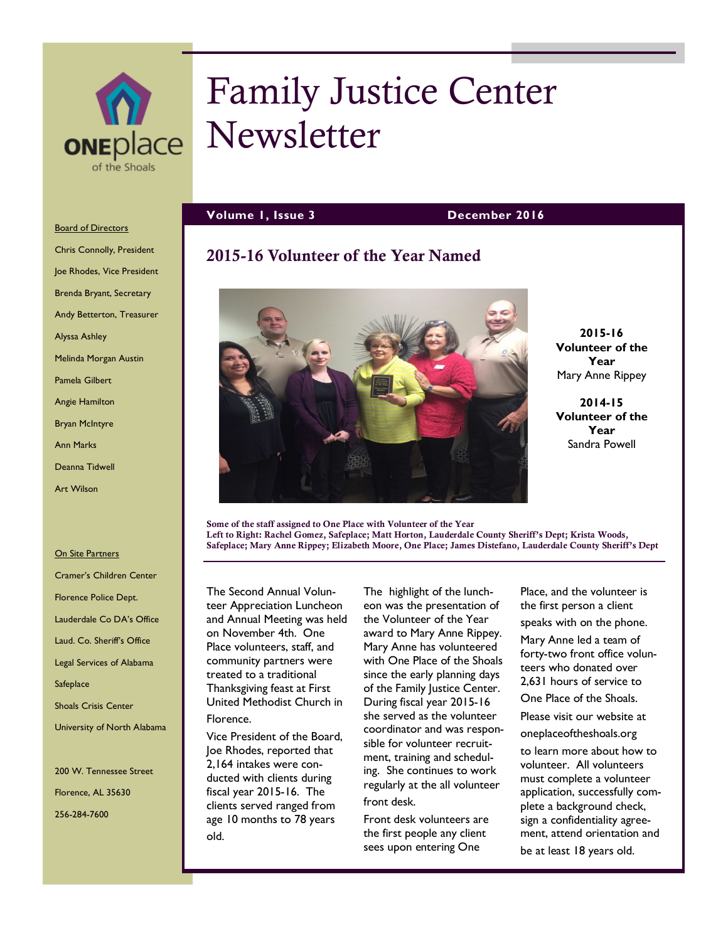

# Family Justice Center Newsletter

**Volume 1, Issue 3 December 2016**

# **2015-16 Volunteer of the Year Named**



**2015-16 Volunteer of the Year** Mary Anne Rippey

**2014-15 Volunteer of the Year** Sandra Powell

**Some of the staff assigned to One Place with Volunteer of the Year Left to Right: Rachel Gomez, Safeplace; Matt Horton, Lauderdale County Sheriff's Dept; Krista Woods, Safeplace; Mary Anne Rippey; Elizabeth Moore, One Place; James Distefano, Lauderdale County Sheriff's Dept**

The Second Annual Volunteer Appreciation Luncheon and Annual Meeting was held on November 4th. One Place volunteers, staff, and community partners were treated to a traditional Thanksgiving feast at First United Methodist Church in Florence.

Vice President of the Board, Joe Rhodes, reported that 2,164 intakes were conducted with clients during fiscal year 2015-16. The clients served ranged from age 10 months to 78 years old.

The highlight of the luncheon was the presentation of the Volunteer of the Year award to Mary Anne Rippey. Mary Anne has volunteered with One Place of the Shoals since the early planning days of the Family Justice Center. During fiscal year 2015-16 she served as the volunteer coordinator and was responsible for volunteer recruitment, training and scheduling. She continues to work regularly at the all volunteer front desk.

Front desk volunteers are the first people any client sees upon entering One

Place, and the volunteer is the first person a client speaks with on the phone.

Mary Anne led a team of forty-two front office volunteers who donated over 2,631 hours of service to

One Place of the Shoals.

Please visit our website at oneplaceoftheshoals.org

to learn more about how to volunteer. All volunteers must complete a volunteer application, successfully complete a background check, sign a confidentiality agreement, attend orientation and be at least 18 years old.

# **Board of Directors**

Chris Connolly, President Joe Rhodes, Vice President Brenda Bryant, Secretary Andy Betterton, Treasurer Alyssa Ashley Melinda Morgan Austin Pamela Gilbert Angie Hamilton Bryan McIntyre Ann Marks Deanna Tidwell Art Wilson

#### **On Site Partners**

Cramer's Children Center Florence Police Dept. Lauderdale Co DA's Office Laud. Co. Sheriff's Office Legal Services of Alabama **Safeplace** Shoals Crisis Center University of North Alabama

200 W. Tennessee Street Florence, AL 35630 256-284-7600